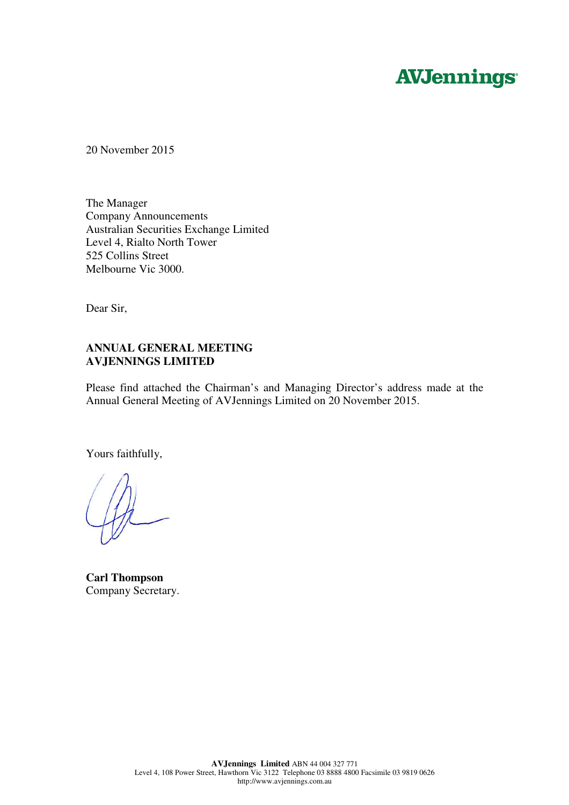# **AVJennings**

20 November 2015

The Manager Company Announcements Australian Securities Exchange Limited Level 4, Rialto North Tower 525 Collins Street Melbourne Vic 3000.

Dear Sir,

#### **ANNUAL GENERAL MEETING AVJENNINGS LIMITED**

Please find attached the Chairman's and Managing Director's address made at the Annual General Meeting of AVJennings Limited on 20 November 2015.

Yours faithfully,

**Carl Thompson**  Company Secretary.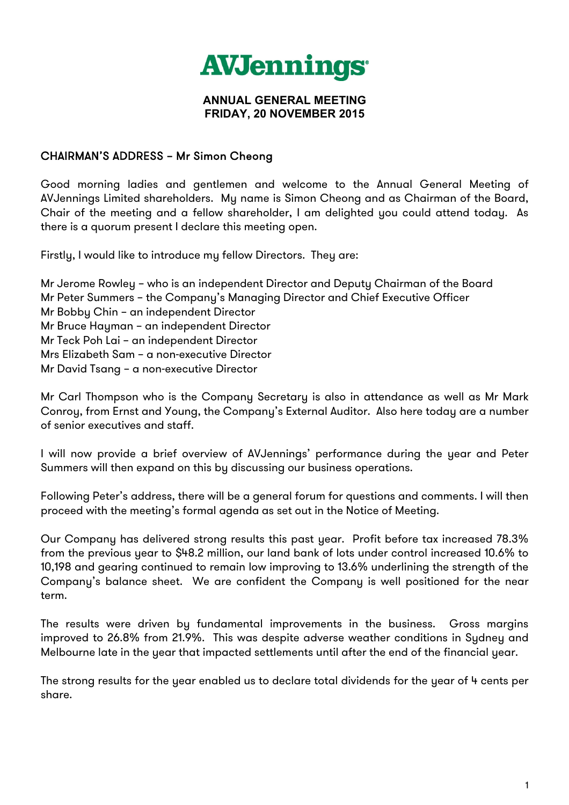

#### **ANNUAL GENERAL MEETING FRIDAY, 20 NOVEMBER 2015**

### CHAIRMAN'S ADDRESS – Mr Simon Cheong

Good morning ladies and gentlemen and welcome to the Annual General Meeting of AVJennings Limited shareholders. My name is Simon Cheong and as Chairman of the Board, Chair of the meeting and a fellow shareholder, I am delighted you could attend today. As there is a quorum present I declare this meeting open.

Firstly, I would like to introduce my fellow Directors. They are:

Mr Jerome Rowley – who is an independent Director and Deputy Chairman of the Board Mr Peter Summers – the Company's Managing Director and Chief Executive Officer Mr Bobby Chin – an independent Director Mr Bruce Hayman – an independent Director Mr Teck Poh Lai – an independent Director Mrs Elizabeth Sam – a non-executive Director Mr David Tsang – a non-executive Director

Mr Carl Thompson who is the Company Secretary is also in attendance as well as Mr Mark Conroy, from Ernst and Young, the Company's External Auditor. Also here today are a number of senior executives and staff.

I will now provide a brief overview of AVJennings' performance during the year and Peter Summers will then expand on this by discussing our business operations.

Following Peter's address, there will be a general forum for questions and comments. I will then proceed with the meeting's formal agenda as set out in the Notice of Meeting.

Our Company has delivered strong results this past year. Profit before tax increased 78.3% from the previous year to \$48.2 million, our land bank of lots under control increased 10.6% to 10,198 and gearing continued to remain low improving to 13.6% underlining the strength of the Company's balance sheet. We are confident the Company is well positioned for the near term.

The results were driven by fundamental improvements in the business. Gross margins improved to 26.8% from 21.9%. This was despite adverse weather conditions in Sydney and Melbourne late in the year that impacted settlements until after the end of the financial year.

The strong results for the year enabled us to declare total dividends for the year of 4 cents per share.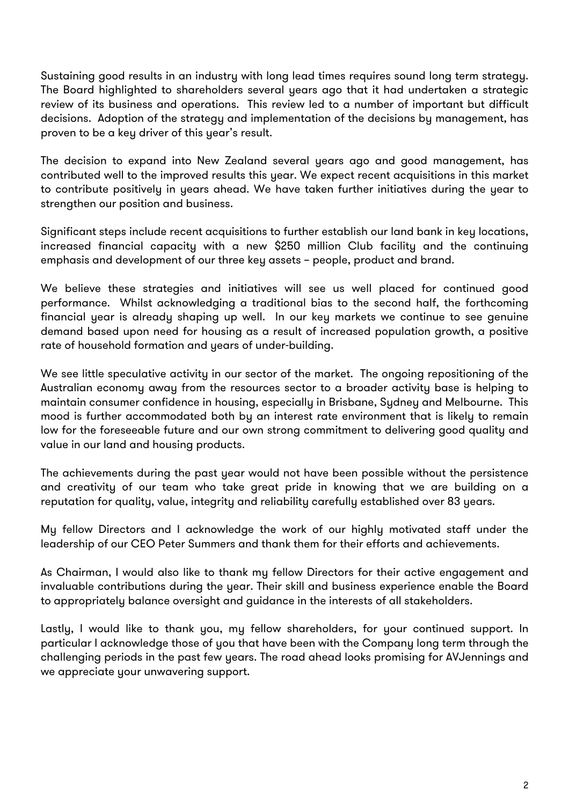Sustaining good results in an industry with long lead times requires sound long term strategy. The Board highlighted to shareholders several years ago that it had undertaken a strategic review of its business and operations. This review led to a number of important but difficult decisions. Adoption of the strategy and implementation of the decisions by management, has proven to be a key driver of this year's result.

The decision to expand into New Zealand several years ago and good management, has contributed well to the improved results this year. We expect recent acquisitions in this market to contribute positively in years ahead. We have taken further initiatives during the year to strengthen our position and business.

Significant steps include recent acquisitions to further establish our land bank in key locations, increased financial capacity with a new \$250 million Club facility and the continuing emphasis and development of our three key assets – people, product and brand.

We believe these strategies and initiatives will see us well placed for continued good performance. Whilst acknowledging a traditional bias to the second half, the forthcoming financial year is already shaping up well. In our key markets we continue to see genuine demand based upon need for housing as a result of increased population growth, a positive rate of household formation and years of under-building.

We see little speculative activity in our sector of the market. The ongoing repositioning of the Australian economy away from the resources sector to a broader activity base is helping to maintain consumer confidence in housing, especially in Brisbane, Sydney and Melbourne. This mood is further accommodated both by an interest rate environment that is likely to remain low for the foreseeable future and our own strong commitment to delivering good quality and value in our land and housing products.

The achievements during the past year would not have been possible without the persistence and creativity of our team who take great pride in knowing that we are building on a reputation for quality, value, integrity and reliability carefully established over 83 years.

My fellow Directors and I acknowledge the work of our highly motivated staff under the leadership of our CEO Peter Summers and thank them for their efforts and achievements.

As Chairman, I would also like to thank my fellow Directors for their active engagement and invaluable contributions during the year. Their skill and business experience enable the Board to appropriately balance oversight and guidance in the interests of all stakeholders.

Lastly, I would like to thank you, my fellow shareholders, for your continued support. In particular I acknowledge those of you that have been with the Company long term through the challenging periods in the past few years. The road ahead looks promising for AVJennings and we appreciate your unwavering support.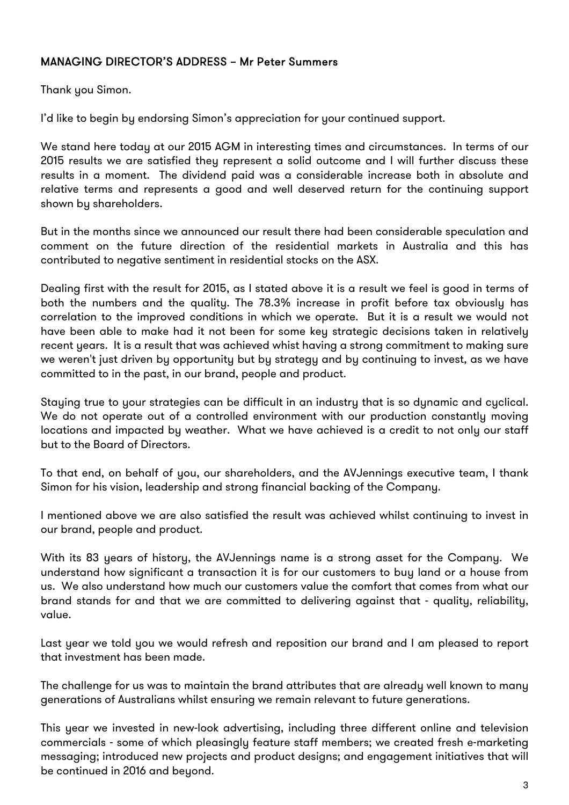## MANAGING DIRECTOR'S ADDRESS – Mr Peter Summers

Thank you Simon.

I'd like to begin by endorsing Simon's appreciation for your continued support.

We stand here today at our 2015 AGM in interesting times and circumstances. In terms of our 2015 results we are satisfied they represent a solid outcome and I will further discuss these results in a moment. The dividend paid was a considerable increase both in absolute and relative terms and represents a good and well deserved return for the continuing support shown by shareholders.

But in the months since we announced our result there had been considerable speculation and comment on the future direction of the residential markets in Australia and this has contributed to negative sentiment in residential stocks on the ASX.

Dealing first with the result for 2015, as I stated above it is a result we feel is good in terms of both the numbers and the quality. The 78.3% increase in profit before tax obviously has correlation to the improved conditions in which we operate. But it is a result we would not have been able to make had it not been for some key strategic decisions taken in relatively recent years. It is a result that was achieved whist having a strong commitment to making sure we weren't just driven by opportunity but by strategy and by continuing to invest, as we have committed to in the past, in our brand, people and product.

Staying true to your strategies can be difficult in an industry that is so dynamic and cyclical. We do not operate out of a controlled environment with our production constantly moving locations and impacted by weather. What we have achieved is a credit to not only our staff but to the Board of Directors.

To that end, on behalf of you, our shareholders, and the AVJennings executive team, I thank Simon for his vision, leadership and strong financial backing of the Company.

I mentioned above we are also satisfied the result was achieved whilst continuing to invest in our brand, people and product.

With its 83 years of history, the AVJennings name is a strong asset for the Company. We understand how significant a transaction it is for our customers to buy land or a house from us. We also understand how much our customers value the comfort that comes from what our brand stands for and that we are committed to delivering against that - quality, reliability, value.

Last year we told you we would refresh and reposition our brand and I am pleased to report that investment has been made.

The challenge for us was to maintain the brand attributes that are already well known to many generations of Australians whilst ensuring we remain relevant to future generations.

This year we invested in new-look advertising, including three different online and television commercials - some of which pleasingly feature staff members; we created fresh e-marketing messaging; introduced new projects and product designs; and engagement initiatives that will be continued in 2016 and beyond.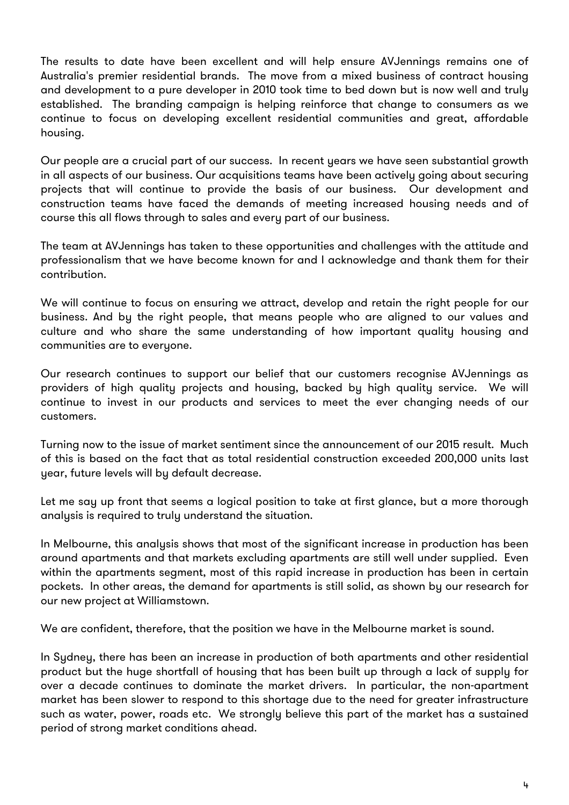The results to date have been excellent and will help ensure AVJennings remains one of Australia's premier residential brands. The move from a mixed business of contract housing and development to a pure developer in 2010 took time to bed down but is now well and truly established. The branding campaign is helping reinforce that change to consumers as we continue to focus on developing excellent residential communities and great, affordable housing.

Our people are a crucial part of our success. In recent years we have seen substantial growth in all aspects of our business. Our acquisitions teams have been actively going about securing projects that will continue to provide the basis of our business. Our development and construction teams have faced the demands of meeting increased housing needs and of course this all flows through to sales and every part of our business.

The team at AVJennings has taken to these opportunities and challenges with the attitude and professionalism that we have become known for and I acknowledge and thank them for their contribution.

We will continue to focus on ensuring we attract, develop and retain the right people for our business. And by the right people, that means people who are aligned to our values and culture and who share the same understanding of how important quality housing and communities are to everyone.

Our research continues to support our belief that our customers recognise AVJennings as providers of high quality projects and housing, backed by high quality service. We will continue to invest in our products and services to meet the ever changing needs of our customers.

Turning now to the issue of market sentiment since the announcement of our 2015 result. Much of this is based on the fact that as total residential construction exceeded 200,000 units last year, future levels will by default decrease.

Let me say up front that seems a logical position to take at first glance, but a more thorough analysis is required to truly understand the situation.

In Melbourne, this analysis shows that most of the significant increase in production has been around apartments and that markets excluding apartments are still well under supplied. Even within the apartments segment, most of this rapid increase in production has been in certain pockets. In other areas, the demand for apartments is still solid, as shown by our research for our new project at Williamstown.

We are confident, therefore, that the position we have in the Melbourne market is sound.

In Sydney, there has been an increase in production of both apartments and other residential product but the huge shortfall of housing that has been built up through a lack of supply for over a decade continues to dominate the market drivers. In particular, the non-apartment market has been slower to respond to this shortage due to the need for greater infrastructure such as water, power, roads etc. We strongly believe this part of the market has a sustained period of strong market conditions ahead.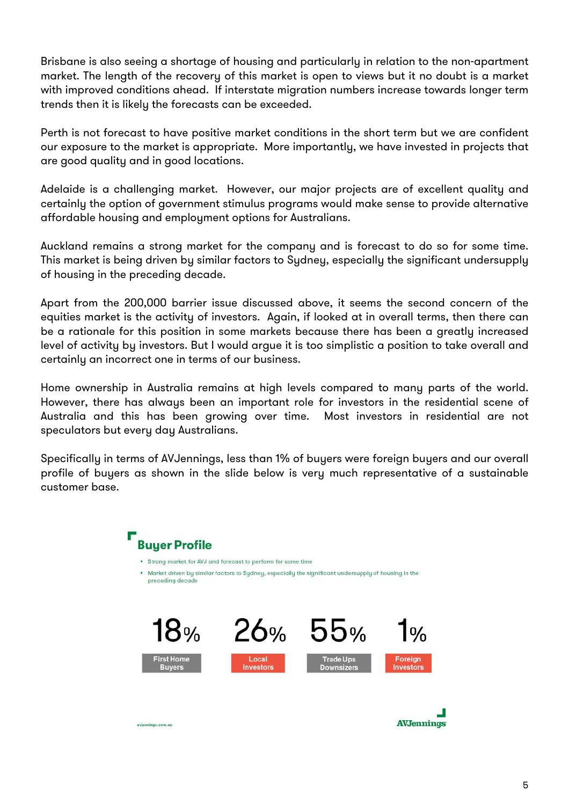Brisbane is also seeing a shortage of housing and particularly in relation to the non-apartment market. The length of the recovery of this market is open to views but it no doubt is a market with improved conditions ahead. If interstate migration numbers increase towards longer term trends then it is likely the forecasts can be exceeded.

Perth is not forecast to have positive market conditions in the short term but we are confident our exposure to the market is appropriate. More importantly, we have invested in projects that are good quality and in good locations.

Adelaide is a challenging market. However, our major projects are of excellent quality and certainly the option of government stimulus programs would make sense to provide alternative affordable housing and employment options for Australians.

Auckland remains a strong market for the company and is forecast to do so for some time. This market is being driven by similar factors to Sydney, especially the significant undersupply of housing in the preceding decade.

Apart from the 200,000 barrier issue discussed above, it seems the second concern of the equities market is the activity of investors. Again, if looked at in overall terms, then there can be a rationale for this position in some markets because there has been a greatly increased level of activity by investors. But I would argue it is too simplistic a position to take overall and certainly an incorrect one in terms of our business.

Home ownership in Australia remains at high levels compared to many parts of the world. However, there has always been an important role for investors in the residential scene of Australia and this has been growing over time. Most investors in residential are not speculators but every day Australians.

Specifically in terms of AVJennings, less than 1% of buyers were foreign buyers and our overall profile of buyers as shown in the slide below is very much representative of a sustainable customer base.

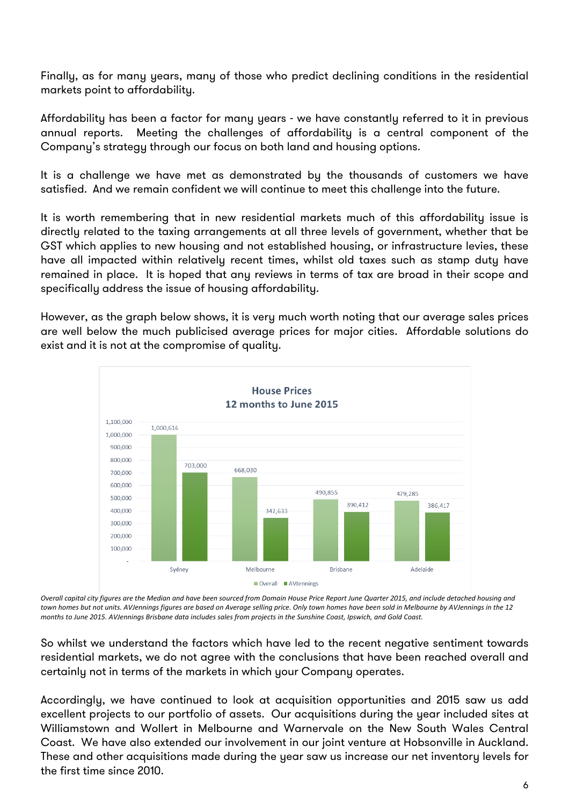Finally, as for many years, many of those who predict declining conditions in the residential markets point to affordability.

Affordability has been a factor for many years - we have constantly referred to it in previous annual reports. Meeting the challenges of affordability is a central component of the Company's strategy through our focus on both land and housing options.

It is a challenge we have met as demonstrated by the thousands of customers we have satisfied. And we remain confident we will continue to meet this challenge into the future.

It is worth remembering that in new residential markets much of this affordability issue is directly related to the taxing arrangements at all three levels of government, whether that be GST which applies to new housing and not established housing, or infrastructure levies, these have all impacted within relatively recent times, whilst old taxes such as stamp duty have remained in place. It is hoped that any reviews in terms of tax are broad in their scope and specifically address the issue of housing affordability.

However, as the graph below shows, it is very much worth noting that our average sales prices are well below the much publicised average prices for major cities. Affordable solutions do exist and it is not at the compromise of quality.



Overall capital city figures are the Median and have been sourced from Domain House Price Report June Quarter 2015, and include detached housing and town homes but not units. AVJennings figures are based on Average selling price. Only town homes have been sold in Melbourne by AVJennings in the 12 months to June 2015. AVJennings Brisbane data includes sales from projects in the Sunshine Coast, Ipswich, and Gold Coast.

So whilst we understand the factors which have led to the recent negative sentiment towards residential markets, we do not agree with the conclusions that have been reached overall and certainly not in terms of the markets in which your Company operates.

Accordingly, we have continued to look at acquisition opportunities and 2015 saw us add excellent projects to our portfolio of assets. Our acquisitions during the year included sites at Williamstown and Wollert in Melbourne and Warnervale on the New South Wales Central Coast. We have also extended our involvement in our joint venture at Hobsonville in Auckland. These and other acquisitions made during the year saw us increase our net inventory levels for the first time since 2010.